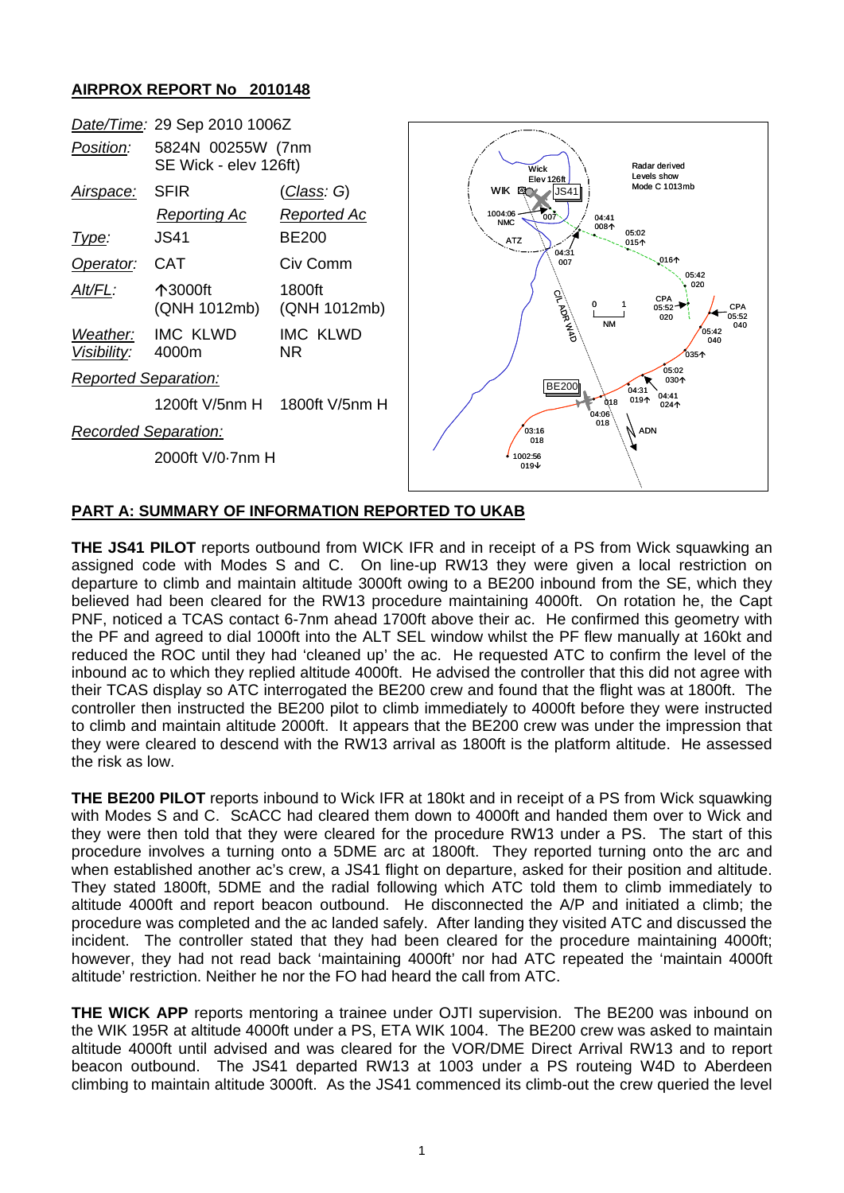## **AIRPROX REPORT No 2010148**



## **PART A: SUMMARY OF INFORMATION REPORTED TO UKAB**

**THE JS41 PILOT** reports outbound from WICK IFR and in receipt of a PS from Wick squawking an assigned code with Modes S and C. On line-up RW13 they were given a local restriction on departure to climb and maintain altitude 3000ft owing to a BE200 inbound from the SE, which they believed had been cleared for the RW13 procedure maintaining 4000ft. On rotation he, the Capt PNF, noticed a TCAS contact 6-7nm ahead 1700ft above their ac. He confirmed this geometry with the PF and agreed to dial 1000ft into the ALT SEL window whilst the PF flew manually at 160kt and reduced the ROC until they had 'cleaned up' the ac. He requested ATC to confirm the level of the inbound ac to which they replied altitude 4000ft. He advised the controller that this did not agree with their TCAS display so ATC interrogated the BE200 crew and found that the flight was at 1800ft. The controller then instructed the BE200 pilot to climb immediately to 4000ft before they were instructed to climb and maintain altitude 2000ft. It appears that the BE200 crew was under the impression that they were cleared to descend with the RW13 arrival as 1800ft is the platform altitude. He assessed the risk as low.

**THE BE200 PILOT** reports inbound to Wick IFR at 180kt and in receipt of a PS from Wick squawking with Modes S and C. ScACC had cleared them down to 4000ft and handed them over to Wick and they were then told that they were cleared for the procedure RW13 under a PS. The start of this procedure involves a turning onto a 5DME arc at 1800ft. They reported turning onto the arc and when established another ac's crew, a JS41 flight on departure, asked for their position and altitude. They stated 1800ft, 5DME and the radial following which ATC told them to climb immediately to altitude 4000ft and report beacon outbound. He disconnected the A/P and initiated a climb; the procedure was completed and the ac landed safely. After landing they visited ATC and discussed the incident. The controller stated that they had been cleared for the procedure maintaining 4000ft; however, they had not read back 'maintaining 4000ft' nor had ATC repeated the 'maintain 4000ft altitude' restriction. Neither he nor the FO had heard the call from ATC.

**THE WICK APP** reports mentoring a trainee under OJTI supervision. The BE200 was inbound on the WIK 195R at altitude 4000ft under a PS, ETA WIK 1004. The BE200 crew was asked to maintain altitude 4000ft until advised and was cleared for the VOR/DME Direct Arrival RW13 and to report beacon outbound. The JS41 departed RW13 at 1003 under a PS routeing W4D to Aberdeen climbing to maintain altitude 3000ft. As the JS41 commenced its climb-out the crew queried the level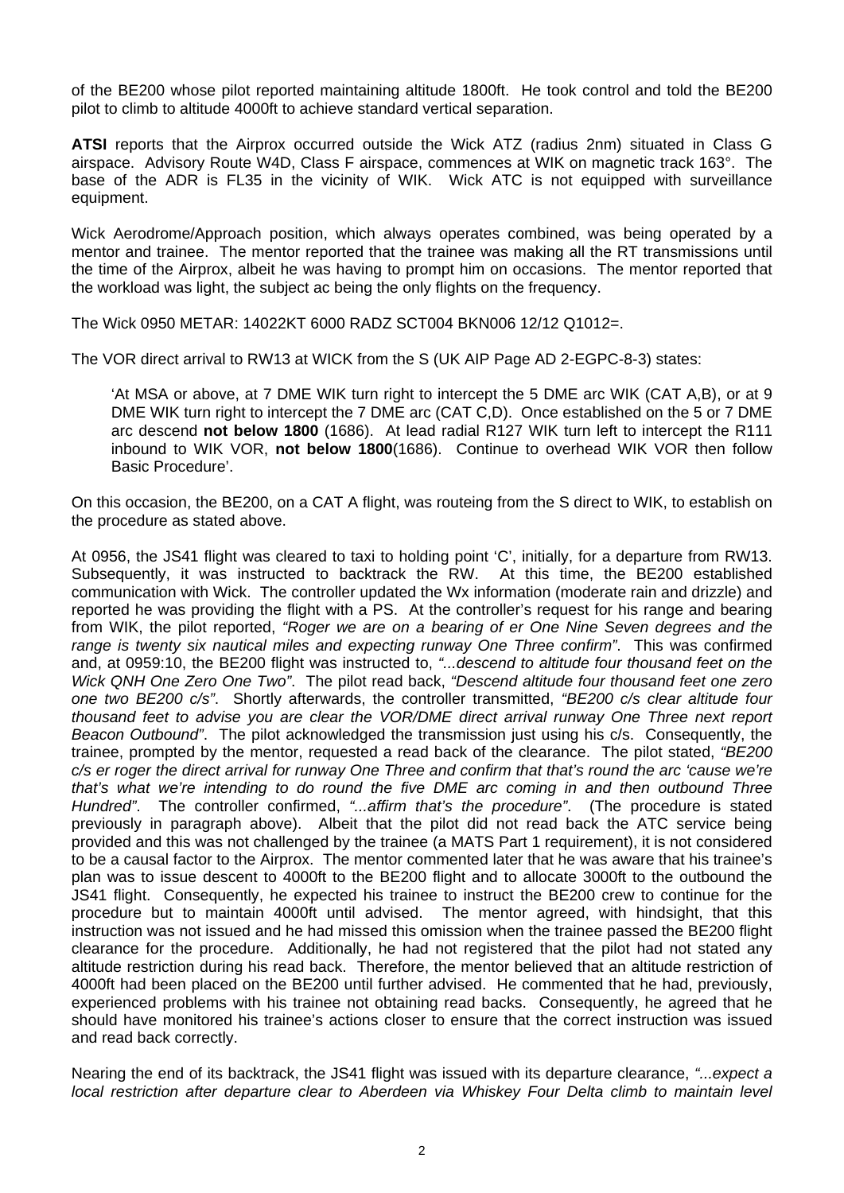of the BE200 whose pilot reported maintaining altitude 1800ft. He took control and told the BE200 pilot to climb to altitude 4000ft to achieve standard vertical separation.

**ATSI** reports that the Airprox occurred outside the Wick ATZ (radius 2nm) situated in Class G airspace. Advisory Route W4D, Class F airspace, commences at WIK on magnetic track 163°. The base of the ADR is FL35 in the vicinity of WIK. Wick ATC is not equipped with surveillance equipment.

Wick Aerodrome/Approach position, which always operates combined, was being operated by a mentor and trainee. The mentor reported that the trainee was making all the RT transmissions until the time of the Airprox, albeit he was having to prompt him on occasions. The mentor reported that the workload was light, the subject ac being the only flights on the frequency.

The Wick 0950 METAR: 14022KT 6000 RADZ SCT004 BKN006 12/12 Q1012=.

The VOR direct arrival to RW13 at WICK from the S (UK AIP Page AD 2-EGPC-8-3) states:

'At MSA or above, at 7 DME WIK turn right to intercept the 5 DME arc WIK (CAT A,B), or at 9 DME WIK turn right to intercept the 7 DME arc (CAT C,D). Once established on the 5 or 7 DME arc descend **not below 1800** (1686). At lead radial R127 WIK turn left to intercept the R111 inbound to WIK VOR, **not below 1800**(1686). Continue to overhead WIK VOR then follow Basic Procedure'.

On this occasion, the BE200, on a CAT A flight, was routeing from the S direct to WIK, to establish on the procedure as stated above.

At 0956, the JS41 flight was cleared to taxi to holding point 'C', initially, for a departure from RW13. Subsequently, it was instructed to backtrack the RW. At this time, the BE200 established communication with Wick. The controller updated the Wx information (moderate rain and drizzle) and reported he was providing the flight with a PS. At the controller's request for his range and bearing from WIK, the pilot reported, *"Roger we are on a bearing of er One Nine Seven degrees and the range is twenty six nautical miles and expecting runway One Three confirm"*. This was confirmed and, at 0959:10, the BE200 flight was instructed to, *"...descend to altitude four thousand feet on the Wick QNH One Zero One Two"*. The pilot read back, *"Descend altitude four thousand feet one zero one two BE200 c/s"*. Shortly afterwards, the controller transmitted, *"BE200 c/s clear altitude four thousand feet to advise you are clear the VOR/DME direct arrival runway One Three next report Beacon Outbound"*. The pilot acknowledged the transmission just using his c/s. Consequently, the trainee, prompted by the mentor, requested a read back of the clearance. The pilot stated, *"BE200 c/s er roger the direct arrival for runway One Three and confirm that that's round the arc 'cause we're that's what we're intending to do round the five DME arc coming in and then outbound Three Hundred"*. The controller confirmed, *"...affirm that's the procedure"*. (The procedure is stated previously in paragraph above). Albeit that the pilot did not read back the ATC service being provided and this was not challenged by the trainee (a MATS Part 1 requirement), it is not considered to be a causal factor to the Airprox. The mentor commented later that he was aware that his trainee's plan was to issue descent to 4000ft to the BE200 flight and to allocate 3000ft to the outbound the JS41 flight. Consequently, he expected his trainee to instruct the BE200 crew to continue for the procedure but to maintain 4000ft until advised. The mentor agreed, with hindsight, that this instruction was not issued and he had missed this omission when the trainee passed the BE200 flight clearance for the procedure. Additionally, he had not registered that the pilot had not stated any altitude restriction during his read back. Therefore, the mentor believed that an altitude restriction of 4000ft had been placed on the BE200 until further advised. He commented that he had, previously, experienced problems with his trainee not obtaining read backs. Consequently, he agreed that he should have monitored his trainee's actions closer to ensure that the correct instruction was issued and read back correctly.

Nearing the end of its backtrack, the JS41 flight was issued with its departure clearance, *"...expect a*  local restriction after departure clear to Aberdeen via Whiskey Four Delta climb to maintain level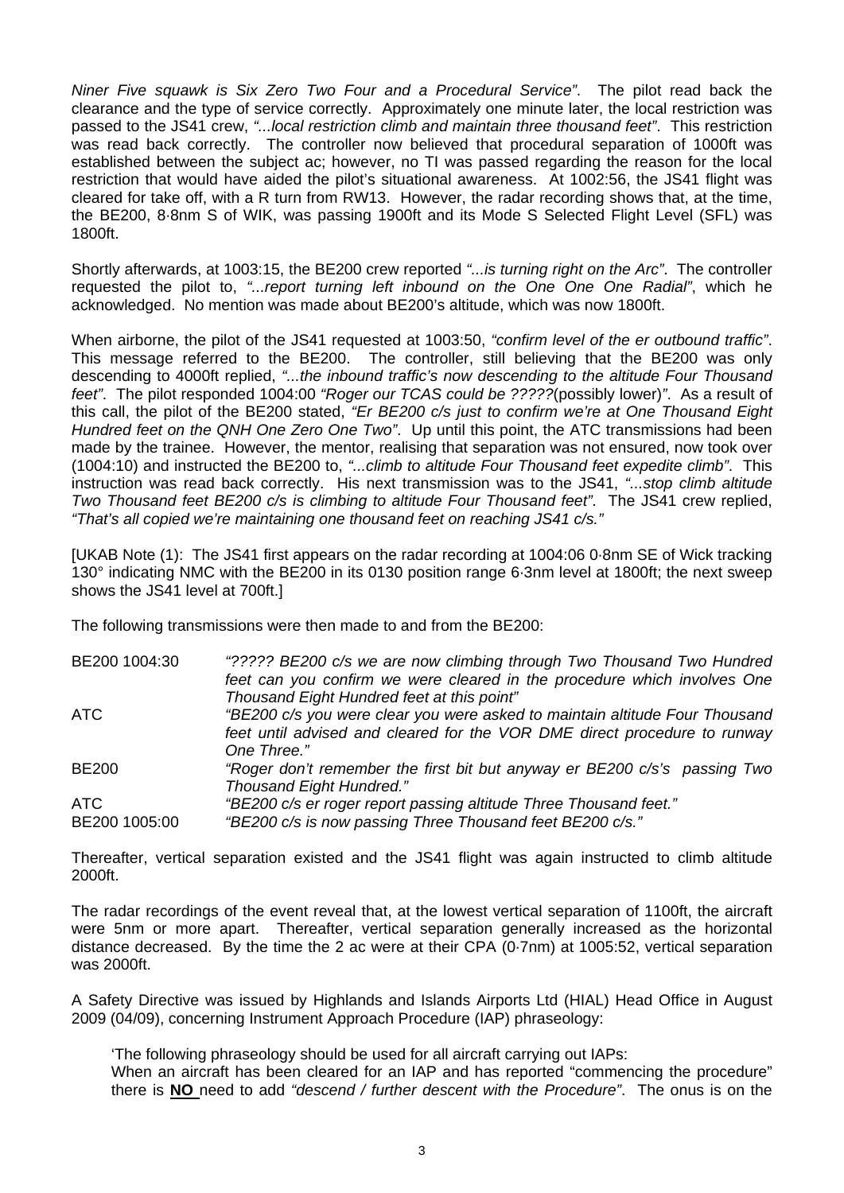*Niner Five squawk is Six Zero Two Four and a Procedural Service"*. The pilot read back the clearance and the type of service correctly. Approximately one minute later, the local restriction was passed to the JS41 crew, *"...local restriction climb and maintain three thousand feet"*. This restriction was read back correctly. The controller now believed that procedural separation of 1000ft was established between the subject ac; however, no TI was passed regarding the reason for the local restriction that would have aided the pilot's situational awareness. At 1002:56, the JS41 flight was cleared for take off, with a R turn from RW13. However, the radar recording shows that, at the time, the BE200, 8·8nm S of WIK, was passing 1900ft and its Mode S Selected Flight Level (SFL) was 1800ft.

Shortly afterwards, at 1003:15, the BE200 crew reported *"...is turning right on the Arc"*. The controller requested the pilot to, *"...report turning left inbound on the One One One Radial"*, which he acknowledged. No mention was made about BE200's altitude, which was now 1800ft.

When airborne, the pilot of the JS41 requested at 1003:50, *"confirm level of the er outbound traffic"*. This message referred to the BE200. The controller, still believing that the BE200 was only descending to 4000ft replied, *"...the inbound traffic's now descending to the altitude Four Thousand feet"*. The pilot responded 1004:00 *"Roger our TCAS could be ?????*(possibly lower)*"*. As a result of this call, the pilot of the BE200 stated, *"Er BE200 c/s just to confirm we're at One Thousand Eight Hundred feet on the QNH One Zero One Two"*. Up until this point, the ATC transmissions had been made by the trainee. However, the mentor, realising that separation was not ensured, now took over (1004:10) and instructed the BE200 to, *"...climb to altitude Four Thousand feet expedite climb"*. This instruction was read back correctly. His next transmission was to the JS41, *"...stop climb altitude Two Thousand feet BE200 c/s is climbing to altitude Four Thousand feet"*. The JS41 crew replied, *"That's all copied we're maintaining one thousand feet on reaching JS41 c/s."*

[UKAB Note (1): The JS41 first appears on the radar recording at 1004:06 0·8nm SE of Wick tracking 130° indicating NMC with the BE200 in its 0130 position range 6·3nm level at 1800ft; the next sweep shows the JS41 level at 700ft.]

The following transmissions were then made to and from the BE200:

| "????? BE200 c/s we are now climbing through Two Thousand Two Hundred       |
|-----------------------------------------------------------------------------|
| feet can you confirm we were cleared in the procedure which involves One    |
| Thousand Eight Hundred feet at this point"                                  |
| "BE200 c/s you were clear you were asked to maintain altitude Four Thousand |
| feet until advised and cleared for the VOR DME direct procedure to runway   |
| One Three."                                                                 |
| "Roger don't remember the first bit but anyway er BE200 c/s's passing Two   |
| <b>Thousand Eight Hundred."</b>                                             |
| "BE200 c/s er roger report passing altitude Three Thousand feet."           |
| "BE200 c/s is now passing Three Thousand feet BE200 c/s."                   |
|                                                                             |

Thereafter, vertical separation existed and the JS41 flight was again instructed to climb altitude 2000ft.

The radar recordings of the event reveal that, at the lowest vertical separation of 1100ft, the aircraft were 5nm or more apart. Thereafter, vertical separation generally increased as the horizontal distance decreased. By the time the 2 ac were at their CPA (0·7nm) at 1005:52, vertical separation was 2000ft.

A Safety Directive was issued by Highlands and Islands Airports Ltd (HIAL) Head Office in August 2009 (04/09), concerning Instrument Approach Procedure (IAP) phraseology:

'The following phraseology should be used for all aircraft carrying out IAPs:

When an aircraft has been cleared for an IAP and has reported "commencing the procedure" there is **NO** need to add *"descend / further descent with the Procedure"*. The onus is on the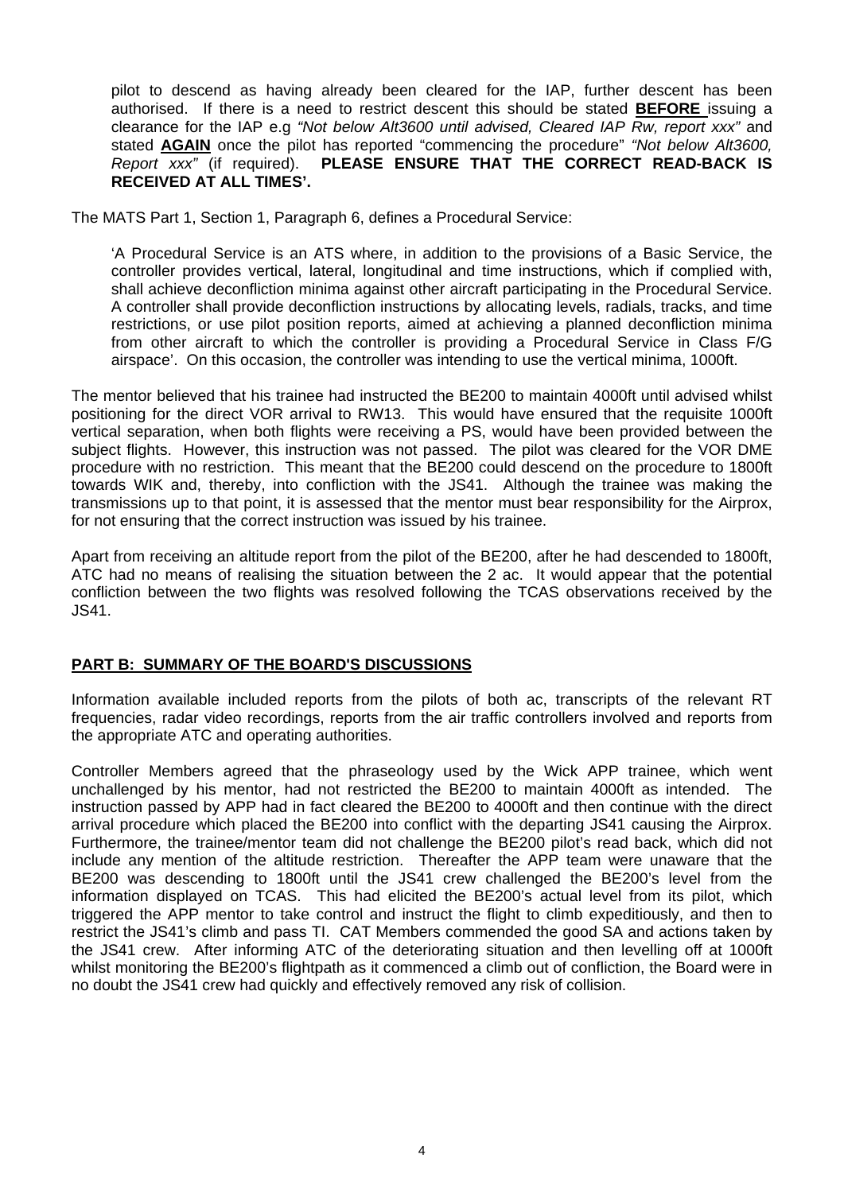pilot to descend as having already been cleared for the IAP, further descent has been authorised. If there is a need to restrict descent this should be stated **BEFORE** issuing a clearance for the IAP e.g *"Not below Alt3600 until advised, Cleared IAP Rw, report xxx"* and stated **AGAIN** once the pilot has reported "commencing the procedure" *"Not below Alt3600, Report xxx"* (if required). **PLEASE ENSURE THAT THE CORRECT READ-BACK IS RECEIVED AT ALL TIMES'.**

The MATS Part 1, Section 1, Paragraph 6, defines a Procedural Service:

'A Procedural Service is an ATS where, in addition to the provisions of a Basic Service, the controller provides vertical, lateral, longitudinal and time instructions, which if complied with, shall achieve deconfliction minima against other aircraft participating in the Procedural Service. A controller shall provide deconfliction instructions by allocating levels, radials, tracks, and time restrictions, or use pilot position reports, aimed at achieving a planned deconfliction minima from other aircraft to which the controller is providing a Procedural Service in Class F/G airspace'. On this occasion, the controller was intending to use the vertical minima, 1000ft.

The mentor believed that his trainee had instructed the BE200 to maintain 4000ft until advised whilst positioning for the direct VOR arrival to RW13. This would have ensured that the requisite 1000ft vertical separation, when both flights were receiving a PS, would have been provided between the subject flights. However, this instruction was not passed. The pilot was cleared for the VOR DME procedure with no restriction. This meant that the BE200 could descend on the procedure to 1800ft towards WIK and, thereby, into confliction with the JS41. Although the trainee was making the transmissions up to that point, it is assessed that the mentor must bear responsibility for the Airprox, for not ensuring that the correct instruction was issued by his trainee.

Apart from receiving an altitude report from the pilot of the BE200, after he had descended to 1800ft, ATC had no means of realising the situation between the 2 ac. It would appear that the potential confliction between the two flights was resolved following the TCAS observations received by the JS41.

## **PART B: SUMMARY OF THE BOARD'S DISCUSSIONS**

Information available included reports from the pilots of both ac, transcripts of the relevant RT frequencies, radar video recordings, reports from the air traffic controllers involved and reports from the appropriate ATC and operating authorities.

Controller Members agreed that the phraseology used by the Wick APP trainee, which went unchallenged by his mentor, had not restricted the BE200 to maintain 4000ft as intended. The instruction passed by APP had in fact cleared the BE200 to 4000ft and then continue with the direct arrival procedure which placed the BE200 into conflict with the departing JS41 causing the Airprox. Furthermore, the trainee/mentor team did not challenge the BE200 pilot's read back, which did not include any mention of the altitude restriction. Thereafter the APP team were unaware that the BE200 was descending to 1800ft until the JS41 crew challenged the BE200's level from the information displayed on TCAS. This had elicited the BE200's actual level from its pilot, which triggered the APP mentor to take control and instruct the flight to climb expeditiously, and then to restrict the JS41's climb and pass TI. CAT Members commended the good SA and actions taken by the JS41 crew. After informing ATC of the deteriorating situation and then levelling off at 1000ft whilst monitoring the BE200's flightpath as it commenced a climb out of confliction, the Board were in no doubt the JS41 crew had quickly and effectively removed any risk of collision.